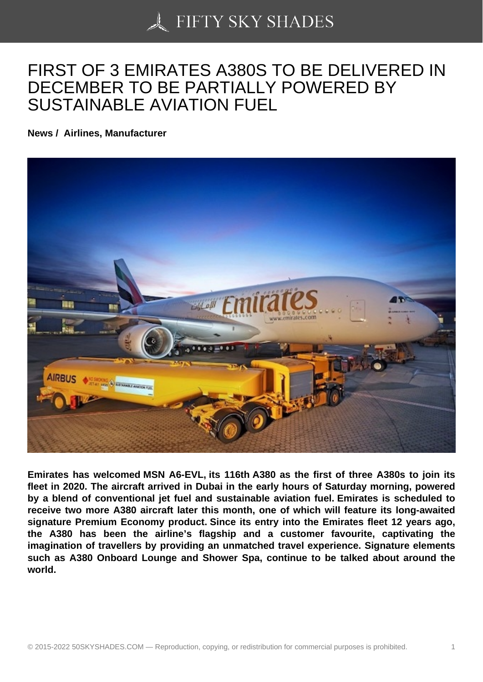## [FIRST OF 3 EMIRATE](https://50skyshades.com)S A380S TO BE DELIVERED IN DECEMBER TO BE PARTIALLY POWERED BY SUSTAINABLE AVIATION FUEL

News / Airlines, Manufacturer

Emirates has welcomed MSN A6-EVL, its 116th A380 as the first of three A380s to join its fleet in 2020. The aircraft arrived in Dubai in the early hours of Saturday morning, powered by a blend of conventional jet fuel and sustainable aviation fuel. Emirates is scheduled to receive two more A380 aircraft later this month, one of which will feature its long-awaited signature Premium Economy product. Since its entry into the Emirates fleet 12 years ago, the A380 has been the airline's flagship and a customer favourite, captivating the imagination of travellers by providing an unmatched travel experience. Signature elements such as A380 Onboard Lounge and Shower Spa, continue to be talked about around the world.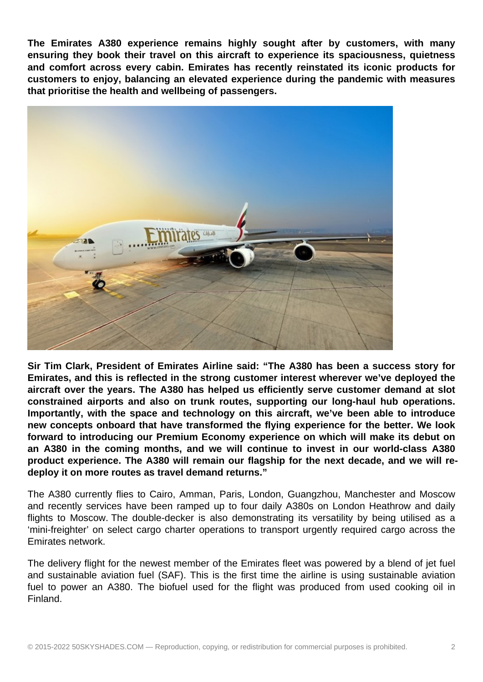**The Emirates A380 experience remains highly sought after by customers, with many ensuring they book their travel on this aircraft to experience its spaciousness, quietness and comfort across every cabin. Emirates has recently reinstated its iconic products for customers to enjoy, balancing an elevated experience during the pandemic with measures that prioritise the health and wellbeing of passengers.**



**Sir Tim Clark, President of Emirates Airline said: "The A380 has been a success story for Emirates, and this is reflected in the strong customer interest wherever we've deployed the aircraft over the years. The A380 has helped us efficiently serve customer demand at slot constrained airports and also on trunk routes, supporting our long-haul hub operations. Importantly, with the space and technology on this aircraft, we've been able to introduce new concepts onboard that have transformed the flying experience for the better. We look forward to introducing our Premium Economy experience on which will make its debut on an A380 in the coming months, and we will continue to invest in our world-class A380 product experience. The A380 will remain our flagship for the next decade, and we will redeploy it on more routes as travel demand returns."**

The A380 currently flies to Cairo, Amman, Paris, London, Guangzhou, Manchester and Moscow and recently services have been ramped up to four daily A380s on London Heathrow and daily flights to Moscow. The double-decker is also demonstrating its versatility by being utilised as a 'mini-freighter' on select cargo charter operations to transport urgently required cargo across the Emirates network.

The delivery flight for the newest member of the Emirates fleet was powered by a blend of jet fuel and sustainable aviation fuel (SAF). This is the first time the airline is using sustainable aviation fuel to power an A380. The biofuel used for the flight was produced from used cooking oil in Finland.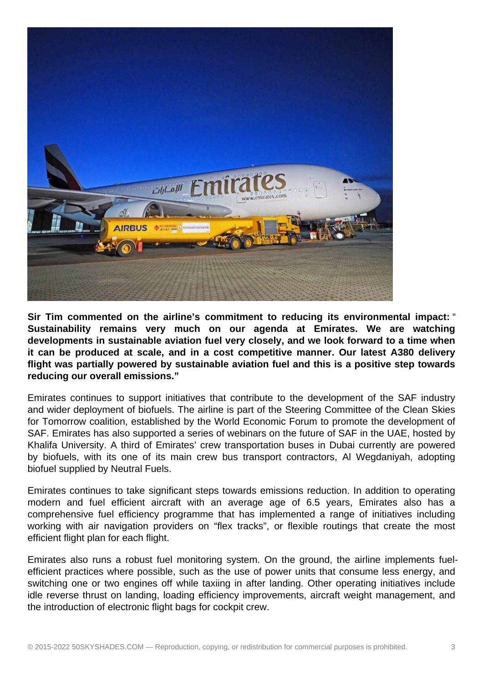

**Sir Tim commented on the airline's commitment to reducing its environmental impact:** " **Sustainability remains very much on our agenda at Emirates. We are watching developments in sustainable aviation fuel very closely, and we look forward to a time when it can be produced at scale, and in a cost competitive manner. Our latest A380 delivery flight was partially powered by sustainable aviation fuel and this is a positive step towards reducing our overall emissions."**

Emirates continues to support initiatives that contribute to the development of the SAF industry and wider deployment of biofuels. The airline is part of the Steering Committee of the Clean Skies for Tomorrow coalition, established by the World Economic Forum to promote the development of SAF. Emirates has also supported a series of webinars on the future of SAF in the UAE, hosted by Khalifa University. A third of Emirates' crew transportation buses in Dubai currently are powered by biofuels, with its one of its main crew bus transport contractors, Al Wegdaniyah, adopting biofuel supplied by Neutral Fuels.

Emirates continues to take significant steps towards emissions reduction. In addition to operating modern and fuel efficient aircraft with an average age of 6.5 years, Emirates also has a comprehensive fuel efficiency programme that has implemented a range of initiatives including working with air navigation providers on "flex tracks", or flexible routings that create the most efficient flight plan for each flight.

Emirates also runs a robust fuel monitoring system. On the ground, the airline implements fuelefficient practices where possible, such as the use of power units that consume less energy, and switching one or two engines off while taxiing in after landing. Other operating initiatives include idle reverse thrust on landing, loading efficiency improvements, aircraft weight management, and the introduction of electronic flight bags for cockpit crew.